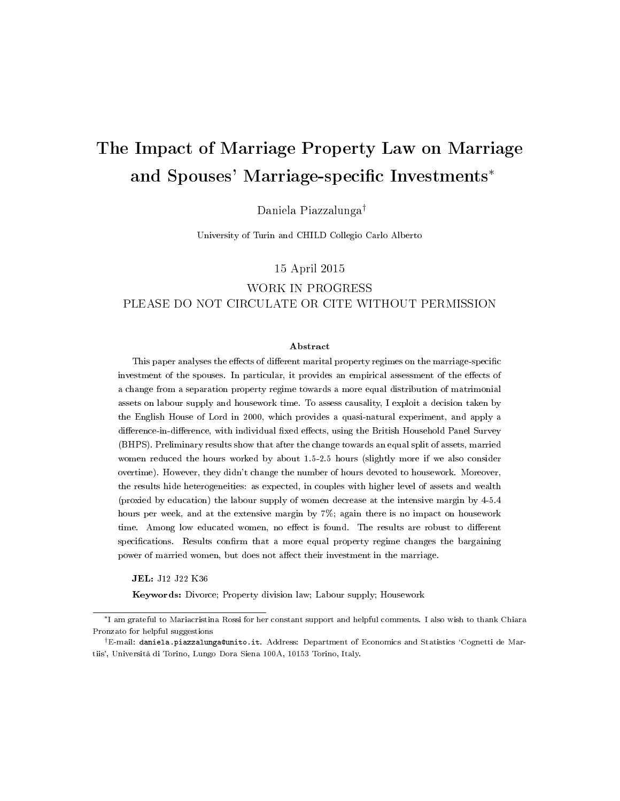# <span id="page-0-0"></span>The Impact of Marriage Property Law on Marriage and Spouses' Marriage-specific Investments<sup>\*</sup>

Daniela Piazzalunga†

University of Turin and CHILD Collegio Carlo Alberto

#### 15 April 2015

## WORK IN PROGRESS PLEASE DO NOT CIRCULATE OR CITE WITHOUT PERMISSION

#### Abstract

This paper analyses the effects of different marital property regimes on the marriage-specific investment of the spouses. In particular, it provides an empirical assessment of the effects of a change from a separation property regime towards a more equal distribution of matrimonial assets on labour supply and housework time. To assess causality, I exploit a decision taken by the English House of Lord in 2000, which provides a quasi-natural experiment, and apply a difference-in-difference, with individual fixed effects, using the British Household Panel Survey (BHPS). Preliminary results show that after the change towards an equal split of assets, married women reduced the hours worked by about 1.5-2.5 hours (slightly more if we also consider overtime). However, they didn't change the number of hours devoted to housework. Moreover, the results hide heterogeneities: as expected, in couples with higher level of assets and wealth (proxied by education) the labour supply of women decrease at the intensive margin by 4-5.4 hours per week, and at the extensive margin by 7%; again there is no impact on housework time. Among low educated women, no effect is found. The results are robust to different specifications. Results confirm that a more equal property regime changes the bargaining power of married women, but does not affect their investment in the marriage.

JEL: J12 J22 K36

Keywords: Divorce; Property division law; Labour supply; Housework

<sup>∗</sup>I am grateful to Mariacristina Rossi for her constant support and helpful comments. I also wish to thank Chiara Pronzato for helpful suggestions

<sup>†</sup>E-mail: daniela.piazzalunga@unito.it. Address: Department of Economics and Statistics `Cognetti de Martiis', Università di Torino, Lungo Dora Siena 100A, 10153 Torino, Italy.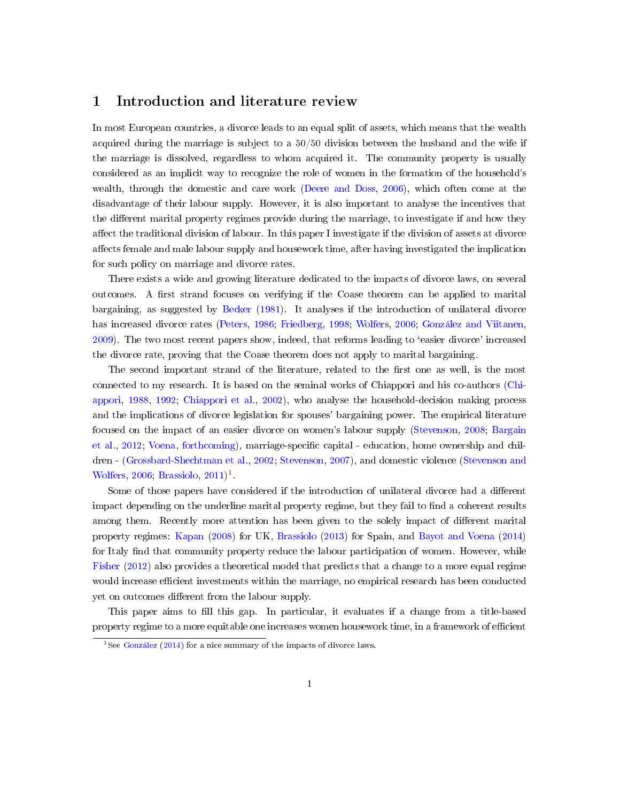### 1 Introduction and literature review

In most European countries, a divorce leads to an equal split of assets, which means that the wealth acquired during the marriage is subject to a 50/50 division between the husband and the wife if the marriage is dissolved, regardless to whom acquired it. The community property is usually considered as an implicit way to recognize the role of women in the formation of the household's wealth, through the domestic and care work [\(Deere and Doss,](#page-12-0) [2006\)](#page-12-0), which often come at the disadvantage of their labour supply. However, it is also important to analyse the incentives that the different marital property regimes provide during the marriage, to investigate if and how they affect the traditional division of labour. In this paper I investigate if the division of assets at divorce affects female and male labour supply and housework time, after having investigated the implication for such policy on marriage and divorce rates.

There exists a wide and growing literature dedicated to the impacts of divorce laws, on several outcomes. A first strand focuses on verifying if the Coase theorem can be applied to marital bargaining, as suggested by [Becker](#page-12-1) [\(1981\)](#page-12-1). It analyses if the introduction of unilateral divorce has increased divorce rates [\(Peters,](#page-13-0) [1986;](#page-13-0) [Friedberg,](#page-12-2) [1998;](#page-12-2) [Wolfers,](#page-13-1) [2006;](#page-13-1) [González and Viitanen,](#page-12-3) [2009\)](#page-12-3). The two most recent papers show, indeed, that reforms leading to `easier divorce' increased the divorce rate, proving that the Coase theorem does not apply to marital bargaining.

The second important strand of the literature, related to the first one as well, is the most connected to my research. It is based on the seminal works of Chiappori and his co-authors [\(Chi](#page-12-4)[appori,](#page-12-4) [1988,](#page-12-4) [1992;](#page-12-5) [Chiappori et al.,](#page-12-6) [2002\)](#page-12-6), who analyse the household-decision making process and the implications of divorce legislation for spouses' bargaining power. The empirical literature focused on the impact of an easier divorce on women's labour supply [\(Stevenson,](#page-13-2) [2008;](#page-13-2) [Bargain](#page-12-7) [et al.,](#page-12-7) [2012;](#page-12-7) [Voena,](#page-13-3) [forthcoming\)](#page-13-3), marriage-specific capital - education, home ownership and children - [\(Grossbard-Shechtman et al.,](#page-12-8) [2002;](#page-12-8) [Stevenson,](#page-13-4) [2007\)](#page-13-4), and domestic violence [\(Stevenson and](#page-13-5) [Wolfers,](#page-13-5) [2006;](#page-13-5) [Brassiolo,](#page-12-9)  $2011$  $2011$  $2011$ <sup>1</sup>.

Some of those papers have considered if the introduction of unilateral divorce had a different impact depending on the underline marital property regime, but they fail to find a coherent results among them. Recently more attention has been given to the solely impact of different marital property regimes: [Kapan](#page-13-6) [\(2008\)](#page-13-6) for UK, [Brassiolo](#page-12-10) [\(2013\)](#page-12-10) for Spain, and [Bayot and Voena](#page-12-11) [\(2014\)](#page-12-11) for Italy find that community property reduce the labour participation of women. However, while [Fisher](#page-12-12) [\(2012\)](#page-12-12) also provides a theoretical model that predicts that a change to a more equal regime would increase efficient investments within the marriage, no empirical research has been conducted yet on outcomes different from the labour supply.

This paper aims to fill this gap. In particular, it evaluates if a change from a title-based property regime to a more equitable one increases women housework time, in a framework of efficient

<sup>&</sup>lt;sup>1</sup>See [González](#page-12-13) [\(2014\)](#page-12-13) for a nice summary of the impacts of divorce laws.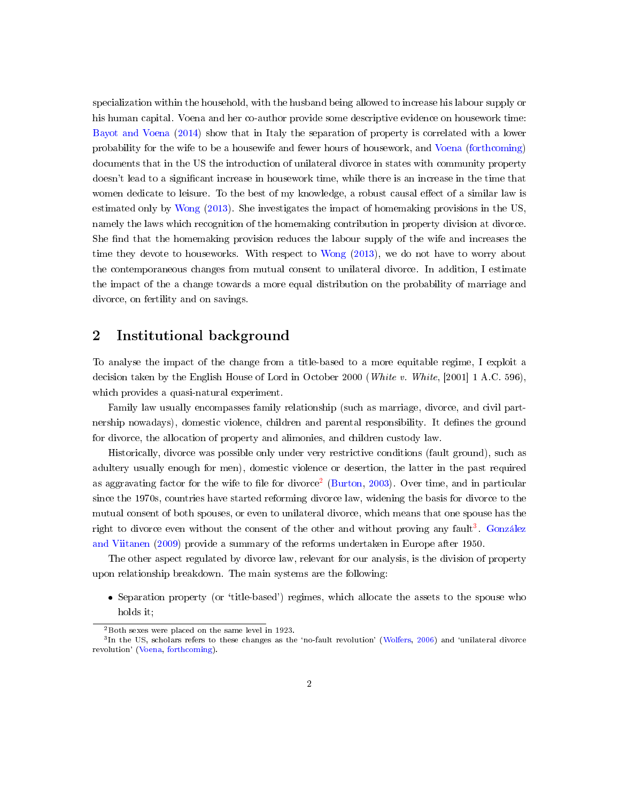specialization within the household, with the husband being allowed to increase his labour supply or his human capital. Voena and her co-author provide some descriptive evidence on housework time: [Bayot and Voena](#page-12-11) [\(2014\)](#page-12-11) show that in Italy the separation of property is correlated with a lower probability for the wife to be a housewife and fewer hours of housework, and [Voena](#page-13-3) [\(forthcoming\)](#page-13-3) documents that in the US the introduction of unilateral divorce in states with community property doesn't lead to a signicant increase in housework time, while there is an increase in the time that women dedicate to leisure. To the best of my knowledge, a robust causal effect of a similar law is estimated only by [Wong](#page-13-7) [\(2013\)](#page-13-7). She investigates the impact of homemaking provisions in the US, namely the laws which recognition of the homemaking contribution in property division at divorce. She find that the homemaking provision reduces the labour supply of the wife and increases the time they devote to houseworks. With respect to [Wong](#page-13-7) [\(2013\)](#page-13-7), we do not have to worry about the contemporaneous changes from mutual consent to unilateral divorce. In addition, I estimate the impact of the a change towards a more equal distribution on the probability of marriage and divorce, on fertility and on savings.

## 2 Institutional background

To analyse the impact of the change from a title-based to a more equitable regime, I exploit a decision taken by the English House of Lord in October 2000 (White v. White, [2001] 1 A.C. 596), which provides a quasi-natural experiment.

Family law usually encompasses family relationship (such as marriage, divorce, and civil partnership nowadays), domestic violence, children and parental responsibility. It defines the ground for divorce, the allocation of property and alimonies, and children custody law.

Historically, divorce was possible only under very restrictive conditions (fault ground), such as adultery usually enough for men), domestic violence or desertion, the latter in the past required as aggravating factor for the wife to file for divorce<sup>[2](#page-0-0)</sup> [\(Burton,](#page-12-14) [2003\)](#page-12-14). Over time, and in particular since the 1970s, countries have started reforming divorce law, widening the basis for divorce to the mutual consent of both spouses, or even to unilateral divorce, which means that one spouse has the right to divorce even without the consent of the other and without proving any fault<sup>[3](#page-0-0)</sup>. [González](#page-12-3) [and Viitanen](#page-12-3) [\(2009\)](#page-12-3) provide a summary of the reforms undertaken in Europe after 1950.

The other aspect regulated by divorce law, relevant for our analysis, is the division of property upon relationship breakdown. The main systems are the following:

 Separation property (or `title-based') regimes, which allocate the assets to the spouse who holds it;

 $2$ Both sexes were placed on the same level in 1923.

<sup>&</sup>lt;sup>3</sup>In the US, scholars refers to these changes as the 'no-fault revolution' [\(Wolfers,](#page-13-1) [2006\)](#page-13-1) and 'unilateral divorce revolution' [\(Voena,](#page-13-3) [forthcoming\)](#page-13-3).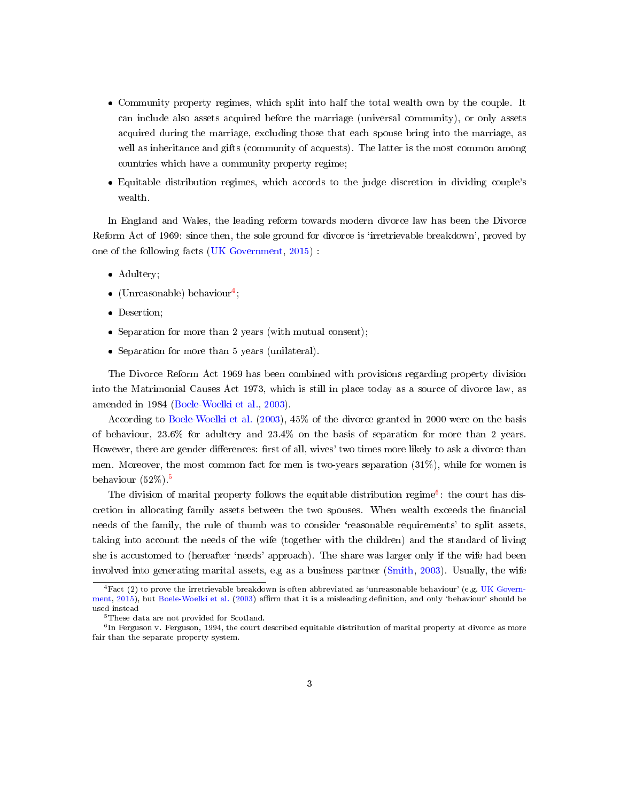- Community property regimes, which split into half the total wealth own by the couple. It can include also assets acquired before the marriage (universal community), or only assets acquired during the marriage, excluding those that each spouse bring into the marriage, as well as inheritance and gifts (community of acquests). The latter is the most common among countries which have a community property regime;
- Equitable distribution regimes, which accords to the judge discretion in dividing couple's wealth.

In England and Wales, the leading reform towards modern divorce law has been the Divorce Reform Act of 1969: since then, the sole ground for divorce is 'irretrievable breakdown', proved by one of the following facts [\(UK Government,](#page-13-8) [2015\)](#page-13-8) :

- Adultery;
- $\bullet$  (Unreasonable) behaviour<sup>[4](#page-0-0)</sup>;
- Desertion;
- Separation for more than 2 years (with mutual consent);
- Separation for more than 5 years (unilateral).

The Divorce Reform Act 1969 has been combined with provisions regarding property division into the Matrimonial Causes Act 1973, which is still in place today as a source of divorce law, as amended in 1984 [\(Boele-Woelki et al.,](#page-12-15) [2003\)](#page-12-15).

According to [Boele-Woelki et al.](#page-12-15) [\(2003\)](#page-12-15), 45% of the divorce granted in 2000 were on the basis of behaviour, 23.6% for adultery and 23.4% on the basis of separation for more than 2 years. However, there are gender differences: first of all, wives' two times more likely to ask a divorce than men. Moreover, the most common fact for men is two-years separation  $(31\%)$ , while for women is behaviour  $(52\%)$  $(52\%)$  $(52\%)$ <sup>5</sup>

The division of marital property follows the equitable distribution regime<sup>[6](#page-0-0)</sup>: the court has discretion in allocating family assets between the two spouses. When wealth exceeds the nancial needs of the family, the rule of thumb was to consider 'reasonable requirements' to split assets, taking into account the needs of the wife (together with the children) and the standard of living she is accustomed to (hereafter 'needs' approach). The share was larger only if the wife had been involved into generating marital assets, e.g as a business partner [\(Smith,](#page-13-9) [2003\)](#page-13-9). Usually, the wife

 ${}^{4}$ Fact (2) to prove the irretrievable breakdown is often abbreviated as 'unreasonable behaviour' (e.g. [UK Govern](#page-13-8)[ment,](#page-13-8) [2015\)](#page-13-8), but [Boele-Woelki et al.](#page-12-15) [\(2003\)](#page-12-15) affirm that it is a misleading definition, and only 'behaviour' should be used instead

<sup>&</sup>lt;sup>5</sup>These data are not provided for Scotland.

<sup>6</sup> In Ferguson v. Ferguson, 1994, the court described equitable distribution of marital property at divorce as more fair than the separate property system.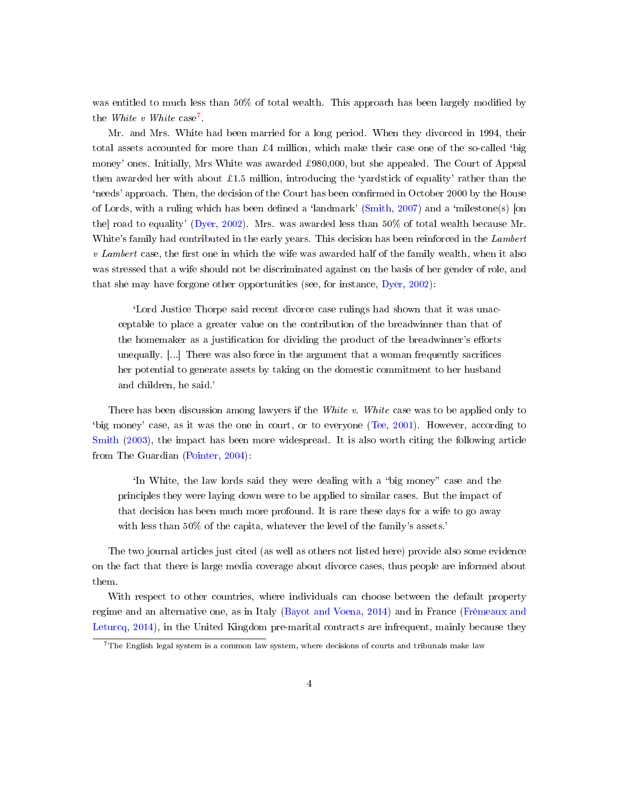was entitled to much less than 50% of total wealth. This approach has been largely modified by the *White*  $v$  *White* case<sup>[7](#page-0-0)</sup>.

Mr. and Mrs. White had been married for a long period. When they divorced in 1994, their total assets accounted for more than  $\pounds 4$  million, which make their case one of the so-called 'big money' ones. Initially, Mrs White was awarded ¿980,000, but she appealed. The Court of Appeal then awarded her with about £1.5 million, introducing the 'yardstick of equality' rather than the 'needs' approach. Then, the decision of the Court has been confirmed in October 2000 by the House of Lords, with a ruling which has been defined a 'landmark' [\(Smith,](#page-13-10) [2007\)](#page-13-10) and a 'milestone(s) [on the] road to equality' [\(Dyer,](#page-12-16) [2002\)](#page-12-16). Mrs. was awarded less than 50% of total wealth because Mr. White's family had contributed in the early years. This decision has been reinforced in the Lambert  $v$  Lambert case, the first one in which the wife was awarded half of the family wealth, when it also was stressed that a wife should not be discriminated against on the basis of her gender of role, and that she may have forgone other opportunities (see, for instance, [Dyer,](#page-12-16) [2002\)](#page-12-16):

`Lord Justice Thorpe said recent divorce case rulings had shown that it was unacceptable to place a greater value on the contribution of the breadwinner than that of the homemaker as a justification for dividing the product of the breadwinner's efforts unequally.  $[\ldots]$  There was also force in the argument that a woman frequently sacrifices her potential to generate assets by taking on the domestic commitment to her husband and children, he said.'

There has been discussion among lawyers if the White v. White case was to be applied only to `big money' case, as it was the one in court, or to everyone [\(Tee,](#page-13-11) [2001\)](#page-13-11). However, according to [Smith](#page-13-9) [\(2003\)](#page-13-9), the impact has been more widespread. It is also worth citing the following article from The Guardian [\(Pointer,](#page-13-12) [2004\)](#page-13-12):

In White, the law lords said they were dealing with a "big money" case and the principles they were laying down were to be applied to similar cases. But the impact of that decision has been much more profound. It is rare these days for a wife to go away with less than 50% of the capita, whatever the level of the family's assets.'

The two journal articles just cited (as well as others not listed here) provide also some evidence on the fact that there is large media coverage about divorce cases, thus people are informed about them.

With respect to other countries, where individuals can choose between the default property regime and an alternative one, as in Italy [\(Bayot and Voena,](#page-12-11) [2014\)](#page-12-11) and in France [\(Frémeaux and](#page-12-17) [Leturcq,](#page-12-17) [2014\)](#page-12-17), in the United Kingdom pre-marital contracts are infrequent, mainly because they

 $7$ The English legal system is a common law system, where decisions of courts and tribunals make law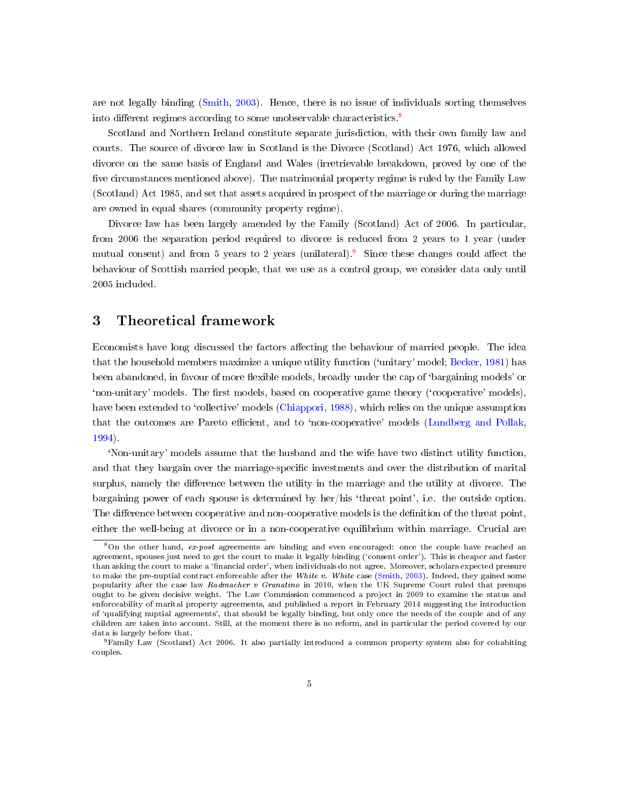are not legally binding [\(Smith,](#page-13-9) [2003\)](#page-13-9). Hence, there is no issue of individuals sorting themselves into different regimes according to some unobservable characteristics.<sup>[8](#page-0-0)</sup>

Scotland and Northern Ireland constitute separate jurisdiction, with their own family law and courts. The source of divorce law in Scotland is the Divorce (Scotland) Act 1976, which allowed divorce on the same basis of England and Wales (irretrievable breakdown, proved by one of the five circumstances mentioned above). The matrimonial property regime is ruled by the Family Law (Scotland) Act 1985, and set that assets acquired in prospect of the marriage or during the marriage are owned in equal shares (community property regime).

Divorce law has been largely amended by the Family (Scotland) Act of 2006. In particular, from 2006 the separation period required to divorce is reduced from 2 years to 1 year (under mutual consent) and from 5 years to 2 years (unilateral). Since these changes could affect the behaviour of Scottish married people, that we use as a control group, we consider data only until 2005 included.

### 3 Theoretical framework

Economists have long discussed the factors affecting the behaviour of married people. The idea that the household members maximize a unique utility function (`unitary' model; [Becker,](#page-12-1) [1981\)](#page-12-1) has been abandoned, in favour of more flexible models, broadly under the cap of 'bargaining models' or 'non-unitary' models. The first models, based on cooperative game theory ('cooperative' models), have been extended to 'collective' models [\(Chiappori,](#page-12-4) [1988\)](#page-12-4), which relies on the unique assumption that the outcomes are Pareto efficient, and to 'non-cooperative' models [\(Lundberg and Pollak,](#page-13-13) [1994\)](#page-13-13).

`Non-unitary' models assume that the husband and the wife have two distinct utility function, and that they bargain over the marriage-specific investments and over the distribution of marital surplus, namely the difference between the utility in the marriage and the utility at divorce. The bargaining power of each spouse is determined by her/his `threat point', i.e. the outside option. The difference between cooperative and non-cooperative models is the definition of the threat point, either the well-being at divorce or in a non-cooperative equilibrium within marriage. Crucial are

<sup>8</sup>On the other hand, ex-post agreements are binding and even encouraged: once the couple have reached an agreement, spouses just need to get the court to make it legally binding ('consent order'). This is cheaper and faster than asking the court to make a 'financial order', when individuals do not agree. Moreover, scholars expected pressure to make the pre-nuptial contract enforceable after the White v. White case [\(Smith,](#page-13-9) [2003\)](#page-13-9). Indeed, they gained some popularity after the case law Radmacher v Granatino in 2010, when the UK Supreme Court ruled that prenups ought to be given decisive weight. The Law Commission commenced a project in 2009 to examine the status and enforceability of marital property agreements, and published a report in February 2014 suggesting the introduction of `qualifying nuptial agreements', that should be legally binding, but only once the needs of the couple and of any children are taken into account. Still, at the moment there is no reform, and in particular the period covered by our data is largely before that.

<sup>9</sup>Family Law (Scotland) Act 2006. It also partially introduced a common property system also for cohabiting couples.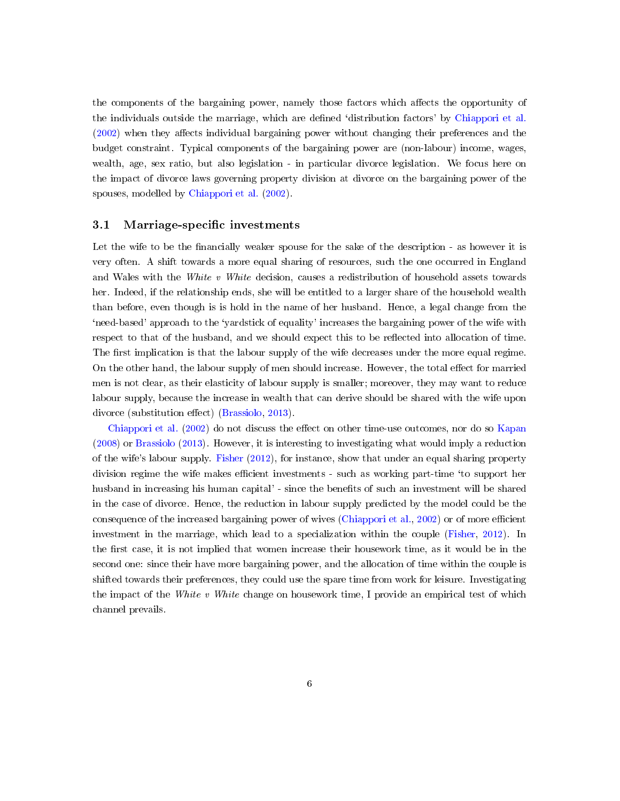the components of the bargaining power, namely those factors which affects the opportunity of the individuals outside the marriage, which are defined 'distribution factors' by [Chiappori et al.](#page-12-6)  $(2002)$  when they affects individual bargaining power without changing their preferences and the budget constraint. Typical components of the bargaining power are (non-labour) income, wages, wealth, age, sex ratio, but also legislation - in particular divorce legislation. We focus here on the impact of divorce laws governing property division at divorce on the bargaining power of the spouses, modelled by [Chiappori et al.](#page-12-6) [\(2002\)](#page-12-6).

#### 3.1 Marriage-specific investments

Let the wife to be the financially weaker spouse for the sake of the description - as however it is very often. A shift towards a more equal sharing of resources, such the one occurred in England and Wales with the White v White decision, causes a redistribution of household assets towards her. Indeed, if the relationship ends, she will be entitled to a larger share of the household wealth than before, even though is is hold in the name of her husband. Hence, a legal change from the `need-based' approach to the `yardstick of equality' increases the bargaining power of the wife with respect to that of the husband, and we should expect this to be reflected into allocation of time. The first implication is that the labour supply of the wife decreases under the more equal regime. On the other hand, the labour supply of men should increase. However, the total effect for married men is not clear, as their elasticity of labour supply is smaller; moreover, they may want to reduce labour supply, because the increase in wealth that can derive should be shared with the wife upon divorce (substitution effect) [\(Brassiolo,](#page-12-10) [2013\)](#page-12-10).

[Chiappori et al.](#page-12-6) [\(2002\)](#page-12-6) do not discuss the effect on other time-use outcomes, nor do so [Kapan](#page-13-6) [\(2008\)](#page-13-6) or [Brassiolo](#page-12-10) [\(2013\)](#page-12-10). However, it is interesting to investigating what would imply a reduction of the wife's labour supply. [Fisher](#page-12-12) [\(2012\)](#page-12-12), for instance, show that under an equal sharing property division regime the wife makes efficient investments - such as working part-time 'to support her husband in increasing his human capital' - since the benets of such an investment will be shared in the case of divorce. Hence, the reduction in labour supply predicted by the model could be the consequence of the increased bargaining power of wives [\(Chiappori et al.,](#page-12-6) [2002\)](#page-12-6) or of more efficient investment in the marriage, which lead to a specialization within the couple [\(Fisher,](#page-12-12) [2012\)](#page-12-12). In the first case, it is not implied that women increase their housework time, as it would be in the second one: since their have more bargaining power, and the allocation of time within the couple is shifted towards their preferences, they could use the spare time from work for leisure. Investigating the impact of the White v White change on housework time, I provide an empirical test of which channel prevails.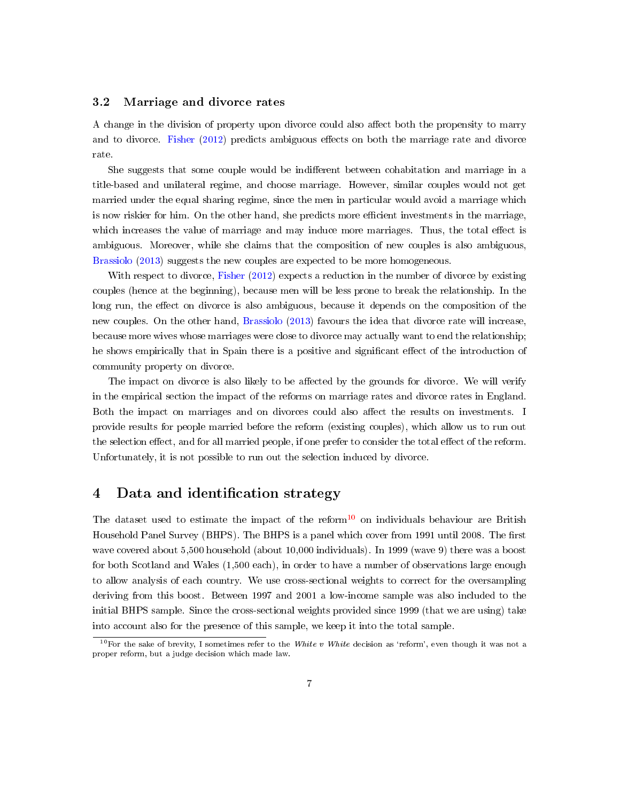#### 3.2 Marriage and divorce rates

A change in the division of property upon divorce could also affect both the propensity to marry and to divorce. [Fisher](#page-12-12) [\(2012\)](#page-12-12) predicts ambiguous effects on both the marriage rate and divorce rate.

She suggests that some couple would be indifferent between cohabitation and marriage in a title-based and unilateral regime, and choose marriage. However, similar couples would not get married under the equal sharing regime, since the men in particular would avoid a marriage which is now riskier for him. On the other hand, she predicts more efficient investments in the marriage, which increases the value of marriage and may induce more marriages. Thus, the total effect is ambiguous. Moreover, while she claims that the composition of new couples is also ambiguous, [Brassiolo](#page-12-10) [\(2013\)](#page-12-10) suggests the new couples are expected to be more homogeneous.

With respect to divorce, [Fisher](#page-12-12) [\(2012\)](#page-12-12) expects a reduction in the number of divorce by existing couples (hence at the beginning), because men will be less prone to break the relationship. In the long run, the effect on divorce is also ambiguous, because it depends on the composition of the new couples. On the other hand, [Brassiolo](#page-12-10) [\(2013\)](#page-12-10) favours the idea that divorce rate will increase, because more wives whose marriages were close to divorce may actually want to end the relationship; he shows empirically that in Spain there is a positive and significant effect of the introduction of community property on divorce.

The impact on divorce is also likely to be affected by the grounds for divorce. We will verify in the empirical section the impact of the reforms on marriage rates and divorce rates in England. Both the impact on marriages and on divorces could also affect the results on investments. I provide results for people married before the reform (existing couples), which allow us to run out the selection effect, and for all married people, if one prefer to consider the total effect of the reform. Unfortunately, it is not possible to run out the selection induced by divorce.

## 4 Data and identification strategy

The dataset used to estimate the impact of the reform<sup>[10](#page-0-0)</sup> on individuals behaviour are British Household Panel Survey (BHPS). The BHPS is a panel which cover from 1991 until 2008. The first wave covered about 5,500 household (about 10,000 individuals). In 1999 (wave 9) there was a boost for both Scotland and Wales (1,500 each), in order to have a number of observations large enough to allow analysis of each country. We use cross-sectional weights to correct for the oversampling deriving from this boost. Between 1997 and 2001 a low-income sample was also included to the initial BHPS sample. Since the cross-sectional weights provided since 1999 (that we are using) take into account also for the presence of this sample, we keep it into the total sample.

<sup>&</sup>lt;sup>10</sup>For the sake of brevity, I sometimes refer to the White v White decision as 'reform', even though it was not a proper reform, but a judge decision which made law.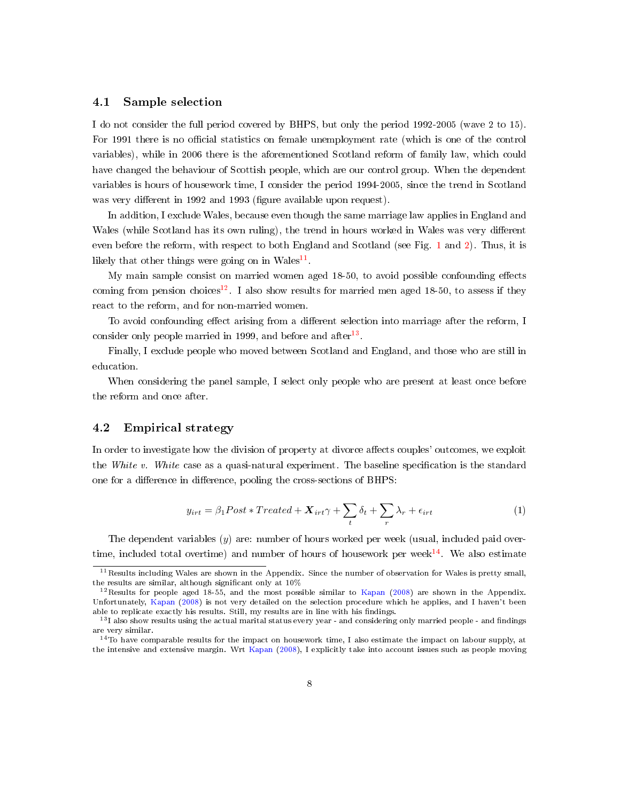#### 4.1 Sample selection

I do not consider the full period covered by BHPS, but only the period 1992-2005 (wave 2 to 15). For 1991 there is no official statistics on female unemployment rate (which is one of the control variables), while in 2006 there is the aforementioned Scotland reform of family law, which could have changed the behaviour of Scottish people, which are our control group. When the dependent variables is hours of housework time, I consider the period 1994-2005, since the trend in Scotland was very different in 1992 and 1993 (figure available upon request).

In addition, I exclude Wales, because even though the same marriage law applies in England and Wales (while Scotland has its own ruling), the trend in hours worked in Wales was very different even before the reform, with respect to both England and Scotland (see Fig. [1](#page-14-0) and [2\)](#page-15-0). Thus, it is likely that other things were going on in  $Wales^{11}$  $Wales^{11}$  $Wales^{11}$ .

My main sample consist on married women aged  $18-50$ , to avoid possible confounding effects coming from pension choices<sup>[12](#page-0-0)</sup>. I also show results for married men aged 18-50, to assess if they react to the reform, and for non-married women.

To avoid confounding effect arising from a different selection into marriage after the reform, I consider only people married in 1999, and before and after<sup>[13](#page-0-0)</sup>.

Finally, I exclude people who moved between Scotland and England, and those who are still in education.

When considering the panel sample, I select only people who are present at least once before the reform and once after.

#### 4.2 Empirical strategy

In order to investigate how the division of property at divorce affects couples' outcomes, we exploit the White v. White case as a quasi-natural experiment. The baseline specification is the standard one for a difference in difference, pooling the cross-sections of BHPS:

$$
y_{irt} = \beta_1 Post * Treated + \mathbf{X}_{irt} \gamma + \sum_t \delta_t + \sum_r \lambda_r + \epsilon_{irt}
$$
 (1)

The dependent variables  $(y)$  are: number of hours worked per week (usual, included paid overtime, included total overtime) and number of hours of housework per week $^{14}$  $^{14}$  $^{14}$ . We also estimate

<sup>&</sup>lt;sup>11</sup> Results including Wales are shown in the Appendix. Since the number of observation for Wales is pretty small, the results are similar, although significant only at  $10\%$ 

<sup>&</sup>lt;sup>12</sup>Results for people aged 18-55, and the most possible similar to [Kapan](#page-13-6) [\(2008\)](#page-13-6) are shown in the Appendix. Unfortunately, [Kapan](#page-13-6) [\(2008\)](#page-13-6) is not very detailed on the selection procedure which he applies, and I haven't been able to replicate exactly his results. Still, my results are in line with his findings.

 $13$ I also show results using the actual marital status every year - and considering only married people - and findings are very similar.

<sup>14</sup>To have comparable results for the impact on housework time, I also estimate the impact on labour supply, at the intensive and extensive margin. Wrt [Kapan](#page-13-6) [\(2008\)](#page-13-6), I explicitly take into account issues such as people moving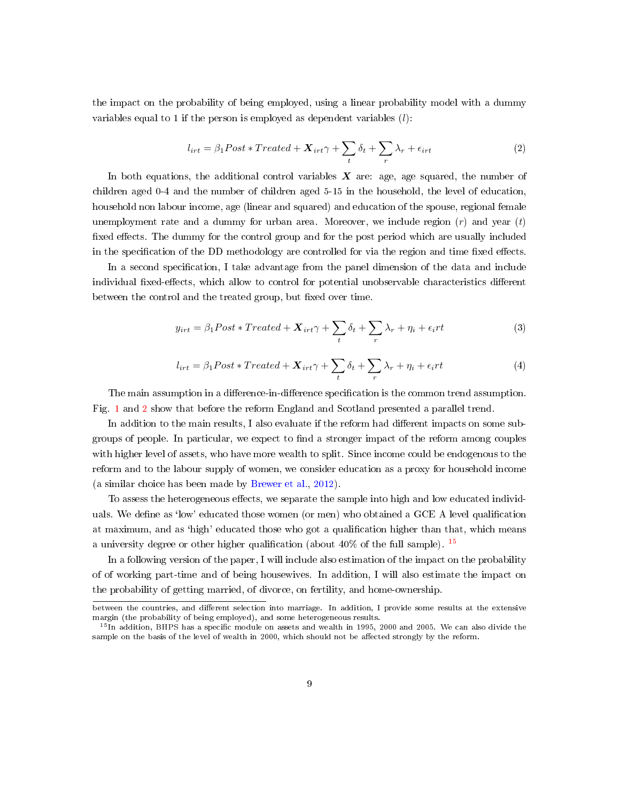the impact on the probability of being employed, using a linear probability model with a dummy variables equal to 1 if the person is employed as dependent variables  $(l)$ :

$$
l_{irt} = \beta_1 Post * Treated + \mathbf{X}_{irt} \gamma + \sum_t \delta_t + \sum_r \lambda_r + \epsilon_{irt}
$$
 (2)

In both equations, the additional control variables  $\boldsymbol{X}$  are: age, age squared, the number of children aged 0-4 and the number of children aged 5-15 in the household, the level of education, household non labour income, age (linear and squared) and education of the spouse, regional female unemployment rate and a dummy for urban area. Moreover, we include region  $(r)$  and year  $(t)$ fixed effects. The dummy for the control group and for the post period which are usually included in the specification of the DD methodology are controlled for via the region and time fixed effects.

In a second specification, I take advantage from the panel dimension of the data and include individual fixed-effects, which allow to control for potential unobservable characteristics different between the control and the treated group, but fixed over time.

$$
y_{irt} = \beta_1 Post * Treated + \mathbf{X}_{irt} \gamma + \sum_t \delta_t + \sum_r \lambda_r + \eta_i + \epsilon_i rt \tag{3}
$$

$$
l_{irt} = \beta_1 Post * Treated + \mathbf{X}_{irt} \gamma + \sum_t \delta_t + \sum_r \lambda_r + \eta_i + \epsilon_i rt \tag{4}
$$

The main assumption in a difference-in-difference specification is the common trend assumption. Fig. [1](#page-14-0) and [2](#page-15-0) show that before the reform England and Scotland presented a parallel trend.

In addition to the main results, I also evaluate if the reform had different impacts on some subgroups of people. In particular, we expect to find a stronger impact of the reform among couples with higher level of assets, who have more wealth to split. Since income could be endogenous to the reform and to the labour supply of women, we consider education as a proxy for household income (a similar choice has been made by [Brewer et al.,](#page-12-18) [2012\)](#page-12-18).

To assess the heterogeneous effects, we separate the sample into high and low educated individuals. We define as 'low' educated those women (or men) who obtained a GCE A level qualification at maximum, and as 'high' educated those who got a qualification higher than that, which means a university degree or other higher qualification (about  $40\%$  of the full sample).  $15$ 

In a following version of the paper, I will include also estimation of the impact on the probability of of working part-time and of being housewives. In addition, I will also estimate the impact on the probability of getting married, of divorce, on fertility, and home-ownership.

between the countries, and different selection into marriage. In addition, I provide some results at the extensive margin (the probability of being employed), and some heterogeneous results.

 $15\text{ In addition, BHPS has a specific module on assets and wealth in 1995, 2000 and 2005. We can also divide the$ sample on the basis of the level of wealth in 2000, which should not be affected strongly by the reform.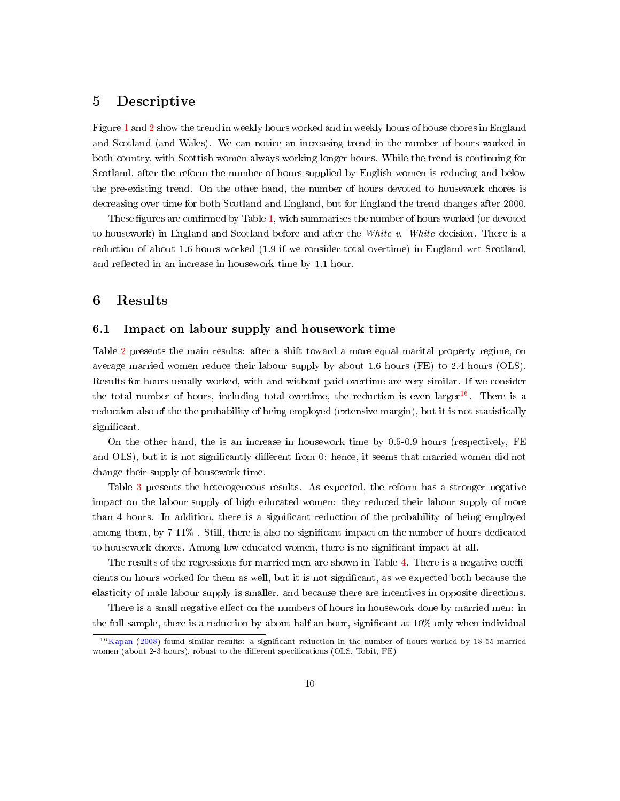## 5 Descriptive

Figure [1](#page-14-0) and [2](#page-15-0) show the trend in weekly hours worked and in weekly hours of house chores in England and Scotland (and Wales). We can notice an increasing trend in the number of hours worked in both country, with Scottish women always working longer hours. While the trend is continuing for Scotland, after the reform the number of hours supplied by English women is reducing and below the pre-existing trend. On the other hand, the number of hours devoted to housework chores is decreasing over time for both Scotland and England, but for England the trend changes after 2000.

These figures are confirmed by Table [1,](#page-16-0) wich summarises the number of hours worked (or devoted to housework) in England and Scotland before and after the White v. White decision. There is a reduction of about 1.6 hours worked (1.9 if we consider total overtime) in England wrt Scotland, and reflected in an increase in housework time by 1.1 hour.

## 6 Results

## 6.1 Impact on labour supply and housework time

Table [2](#page-17-0) presents the main results: after a shift toward a more equal marital property regime, on average married women reduce their labour supply by about 1.6 hours (FE) to 2.4 hours (OLS). Results for hours usually worked, with and without paid overtime are very similar. If we consider the total number of hours, including total overtime, the reduction is even larger<sup>[16](#page-0-0)</sup>. There is a reduction also of the the probability of being employed (extensive margin), but it is not statistically significant.

On the other hand, the is an increase in housework time by 0.5-0.9 hours (respectively, FE and OLS), but it is not significantly different from 0: hence, it seems that married women did not change their supply of housework time.

Table [3](#page-18-0) presents the heterogeneous results. As expected, the reform has a stronger negative impact on the labour supply of high educated women: they reduced their labour supply of more than 4 hours. In addition, there is a significant reduction of the probability of being employed among them, by 7-11%. Still, there is also no significant impact on the number of hours dedicated to housework chores. Among low educated women, there is no signicant impact at all.

The results of the regressions for married men are shown in Table [4.](#page-19-0) There is a negative coefficients on hours worked for them as well, but it is not signicant, as we expected both because the elasticity of male labour supply is smaller, and because there are incentives in opposite directions.

There is a small negative effect on the numbers of hours in housework done by married men: in the full sample, there is a reduction by about half an hour, signicant at 10% only when individual

<sup>&</sup>lt;sup>16</sup>[Kapan](#page-13-6) [\(2008\)](#page-13-6) found similar results: a significant reduction in the number of hours worked by 18-55 married women (about 2-3 hours), robust to the different specifications (OLS, Tobit, FE)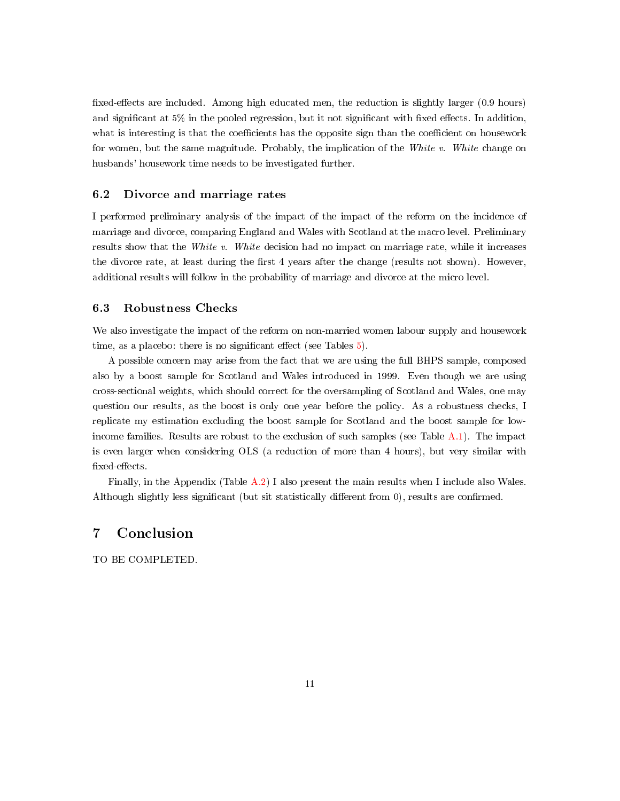fixed-effects are included. Among high educated men, the reduction is slightly larger (0.9 hours) and significant at  $5\%$  in the pooled regression, but it not significant with fixed effects. In addition, what is interesting is that the coefficients has the opposite sign than the coefficient on housework for women, but the same magnitude. Probably, the implication of the White  $v$ . White change on husbands' housework time needs to be investigated further.

#### 6.2 Divorce and marriage rates

I performed preliminary analysis of the impact of the impact of the reform on the incidence of marriage and divorce, comparing England and Wales with Scotland at the macro level. Preliminary results show that the White v. White decision had no impact on marriage rate, while it increases the divorce rate, at least during the first 4 years after the change (results not shown). However, additional results will follow in the probability of marriage and divorce at the micro level.

#### 6.3 Robustness Checks

We also investigate the impact of the reform on non-married women labour supply and housework time, as a placebo: there is no significant effect (see Tables  $5$ ).

A possible concern may arise from the fact that we are using the full BHPS sample, composed also by a boost sample for Scotland and Wales introduced in 1999. Even though we are using cross-sectional weights, which should correct for the oversampling of Scotland and Wales, one may question our results, as the boost is only one year before the policy. As a robustness checks, I replicate my estimation excluding the boost sample for Scotland and the boost sample for lowincome families. Results are robust to the exclusion of such samples (see Table [A.1\)](#page-21-0). The impact is even larger when considering OLS (a reduction of more than 4 hours), but very similar with fixed-effects.

Finally, in the Appendix (Table [A.2\)](#page-22-0) I also present the main results when I include also Wales. Although slightly less significant (but sit statistically different from  $0$ ), results are confirmed.

## 7 Conclusion

TO BE COMPLETED.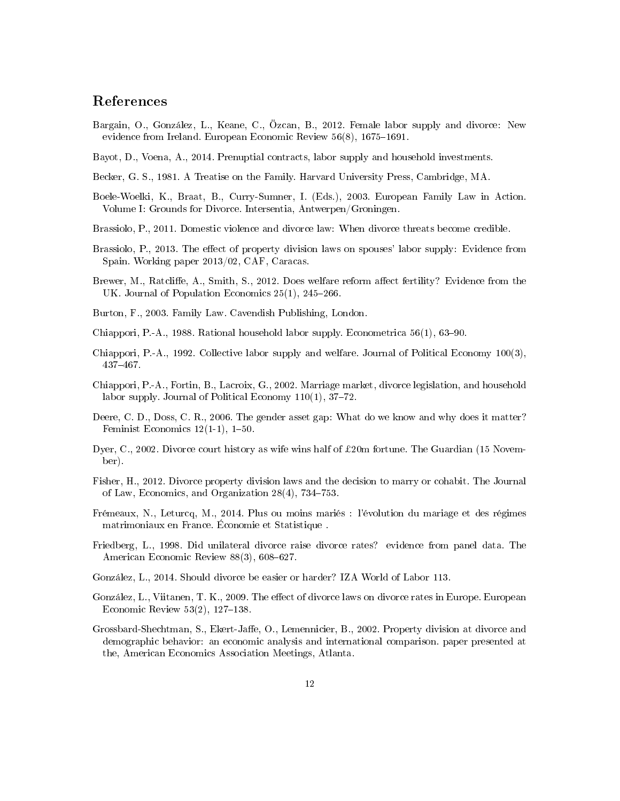## References

- <span id="page-12-7"></span>Bargain, O., González, L., Keane, C., Özcan, B., 2012. Female labor supply and divorce: New evidence from Ireland. European Economic Review  $56(8)$ ,  $1675-1691$ .
- <span id="page-12-11"></span>Bayot, D., Voena, A., 2014. Prenuptial contracts, labor supply and household investments.
- <span id="page-12-1"></span>Becker, G. S., 1981. A Treatise on the Family. Harvard University Press, Cambridge, MA.
- <span id="page-12-15"></span>Boele-Woelki, K., Braat, B., Curry-Sumner, I. (Eds.), 2003. European Family Law in Action. Volume I: Grounds for Divorce. Intersentia, Antwerpen/Groningen.
- <span id="page-12-9"></span>Brassiolo, P., 2011. Domestic violence and divorce law: When divorce threats become credible.
- <span id="page-12-10"></span>Brassiolo, P., 2013. The effect of property division laws on spouses' labor supply: Evidence from Spain. Working paper 2013/02, CAF, Caracas.
- <span id="page-12-18"></span>Brewer, M., Ratcliffe, A., Smith, S., 2012. Does welfare reform affect fertility? Evidence from the UK. Journal of Population Economics  $25(1)$ ,  $245-266$ .
- <span id="page-12-14"></span>Burton, F., 2003. Family Law. Cavendish Publishing, London.
- <span id="page-12-4"></span>Chiappori, P.-A., 1988. Rational household labor supply. Econometrica  $56(1)$ ,  $63-90$ .
- <span id="page-12-5"></span>Chiappori, P.-A., 1992. Collective labor supply and welfare. Journal of Political Economy 100(3), 437467.
- <span id="page-12-6"></span>Chiappori, P.-A., Fortin, B., Lacroix, G., 2002. Marriage market, divorce legislation, and household labor supply. Journal of Political Economy  $110(1)$ ,  $37-72$ .
- <span id="page-12-0"></span>Deere, C. D., Doss, C. R., 2006. The gender asset gap: What do we know and why does it matter? Feminist Economics  $12(1-1)$ ,  $1-50$ .
- <span id="page-12-16"></span>Dyer, C., 2002. Divorce court history as wife wins half of £20m fortune. The Guardian (15 November).
- <span id="page-12-12"></span>Fisher, H., 2012. Divorce property division laws and the decision to marry or cohabit. The Journal of Law, Economics, and Organization  $28(4)$ ,  $734-753$ .
- <span id="page-12-17"></span>Frémeaux, N., Leturcq, M., 2014. Plus ou moins mariés : l'évolution du mariage et des régimes matrimoniaux en France. Économie et Statistique .
- <span id="page-12-2"></span>Friedberg, L., 1998. Did unilateral divorce raise divorce rates? evidence from panel data. The American Economic Review  $88(3)$ ,  $608-627$ .
- <span id="page-12-13"></span>González, L., 2014. Should divorce be easier or harder? IZA World of Labor 113.
- <span id="page-12-3"></span>González, L., Viitanen, T. K., 2009. The effect of divorce laws on divorce rates in Europe. European Economic Review  $53(2)$ ,  $127-138$ .
- <span id="page-12-8"></span>Grossbard-Shechtman, S., Ekert-Jaffe, O., Lemennicier, B., 2002. Property division at divorce and demographic behavior: an economic analysis and international comparison. paper presented at the, American Economics Association Meetings, Atlanta.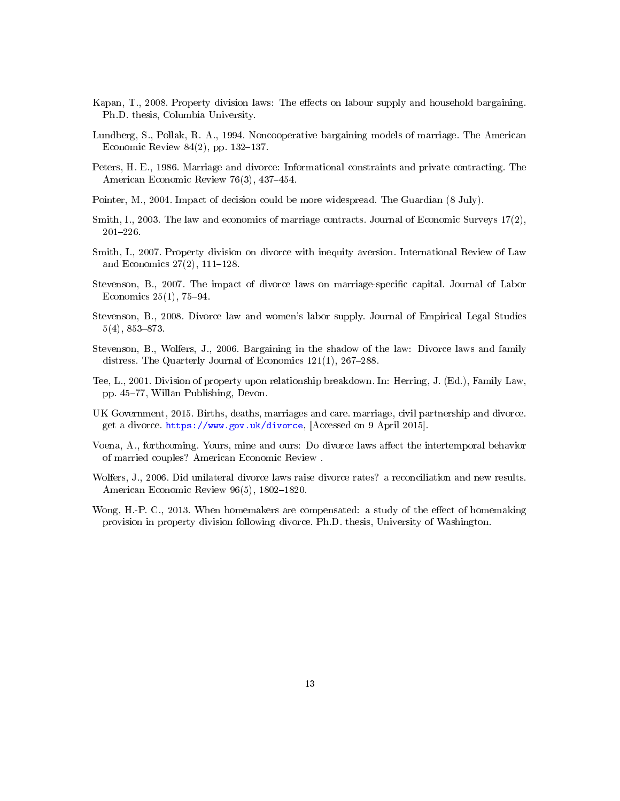- <span id="page-13-6"></span>Kapan, T., 2008. Property division laws: The effects on labour supply and household bargaining. Ph.D. thesis, Columbia University.
- <span id="page-13-13"></span>Lundberg, S., Pollak, R. A., 1994. Noncooperative bargaining models of marriage. The American Economic Review  $84(2)$ , pp. 132-137.
- <span id="page-13-0"></span>Peters, H. E., 1986. Marriage and divorce: Informational constraints and private contracting. The American Economic Review 76(3), 437-454.
- <span id="page-13-12"></span>Pointer, M., 2004. Impact of decision could be more widespread. The Guardian (8 July).
- <span id="page-13-9"></span>Smith, I., 2003. The law and economics of marriage contracts. Journal of Economic Surveys 17(2),  $201 - 226$ .
- <span id="page-13-10"></span>Smith, I., 2007. Property division on divorce with inequity aversion. International Review of Law and Economics  $27(2)$ ,  $111-128$ .
- <span id="page-13-4"></span>Stevenson, B., 2007. The impact of divorce laws on marriage-specific capital. Journal of Labor Economics  $25(1)$ , 75-94.
- <span id="page-13-2"></span>Stevenson, B., 2008. Divorce law and women's labor supply. Journal of Empirical Legal Studies  $5(4)$ ,  $853-873$ .
- <span id="page-13-5"></span>Stevenson, B., Wolfers, J., 2006. Bargaining in the shadow of the law: Divorce laws and family distress. The Quarterly Journal of Economics  $121(1)$ ,  $267-288$ .
- <span id="page-13-11"></span>Tee, L., 2001. Division of property upon relationship breakdown. In: Herring, J. (Ed.), Family Law, pp. 45-77, Willan Publishing, Devon.
- <span id="page-13-8"></span>UK Government, 2015. Births, deaths, marriages and care. marriage, civil partnership and divorce. get a divorce. [https://www.gov.uk/divorce,](https://www.gov.uk/divorce) [Accessed on 9 April 2015].
- <span id="page-13-3"></span>Voena, A., forthcoming. Yours, mine and ours: Do divorce laws affect the intertemporal behavior of married couples? American Economic Review .
- <span id="page-13-1"></span>Wolfers, J., 2006. Did unilateral divorce laws raise divorce rates? a reconciliation and new results. American Economic Review 96(5), 1802-1820.
- <span id="page-13-7"></span>Wong, H.-P. C., 2013. When homemakers are compensated: a study of the effect of homemaking provision in property division following divorce. Ph.D. thesis, University of Washington.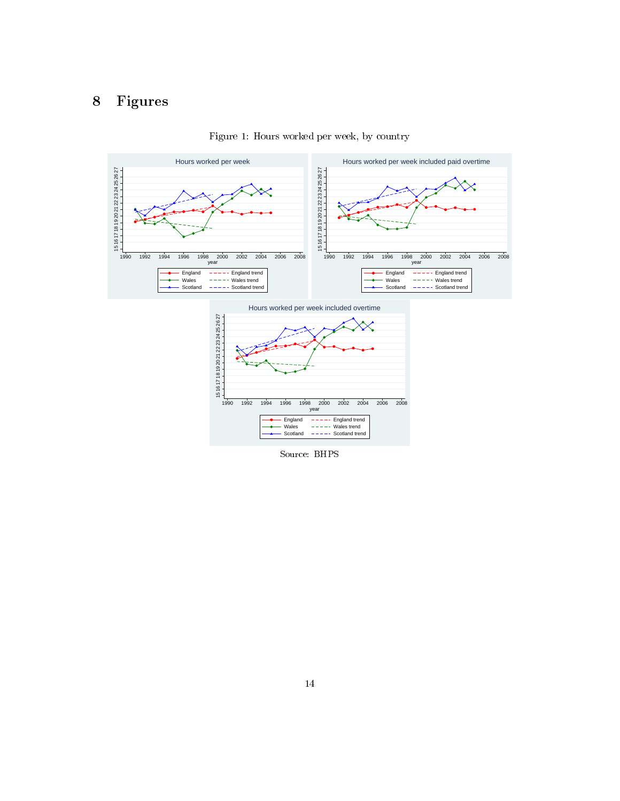## 8 Figures

<span id="page-14-0"></span>

Figure 1: Hours worked per week, by country

Source: BHPS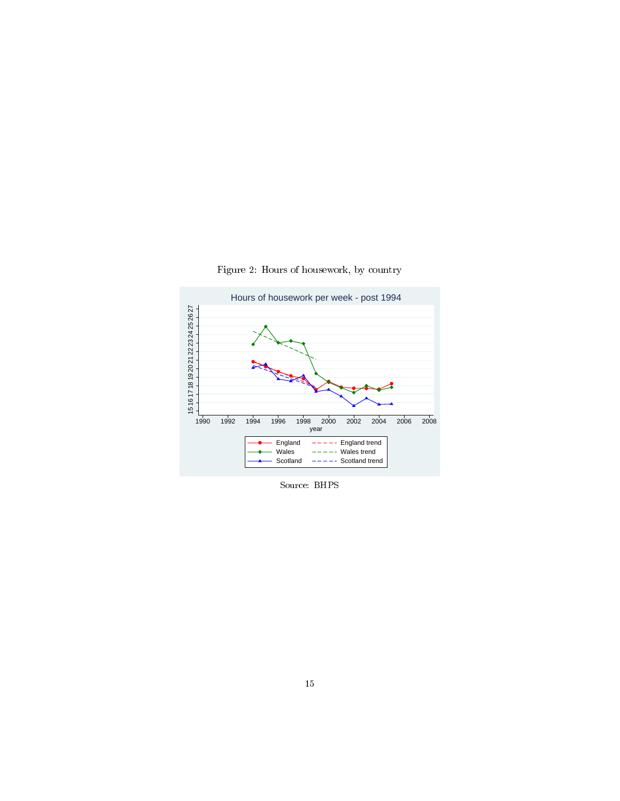<span id="page-15-0"></span>

Figure 2: Hours of housework, by country

Source: BHPS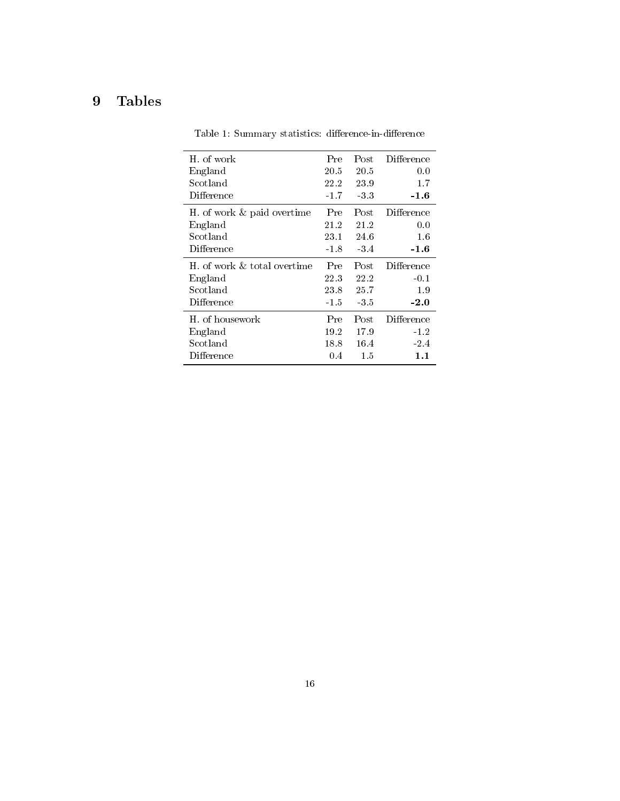## <span id="page-16-0"></span>9 Tables

| H, of work                  | Pre    | Post   | Difference |
|-----------------------------|--------|--------|------------|
| England                     | 20.5   | 20.5   | 0.0        |
| Scotland                    | 22.2   | 23.9   | $1.7\,$    |
| Difference                  | $-1.7$ | -3.3   | -1.6       |
| H. of work & paid overtime  | Pre    | Post   | Difference |
| England                     | 21.2   | 21.2   | 0.0        |
| Scotland                    | 23.1   | 24.6   | 1.6        |
| Difference                  | $-1.8$ | $-3.4$ | $-1.6$     |
|                             |        |        |            |
| H, of work & total overtime | Pre    | Post   | Difference |
| England                     | 22.3   | 22.2   | $-0.1$     |
| Scotland                    | 23.8   | 25.7   | 1.9        |
| Difference                  | $-1.5$ | -35    | $-2.0$     |
| H, of housework             | Pre    | Post   | Difference |
| England                     | 19.2   | 17.9   | $-1.2$     |
| Scotland                    | 18.8   | 16.4   | $-2.4$     |

Table 1: Summary statistics: difference-in-difference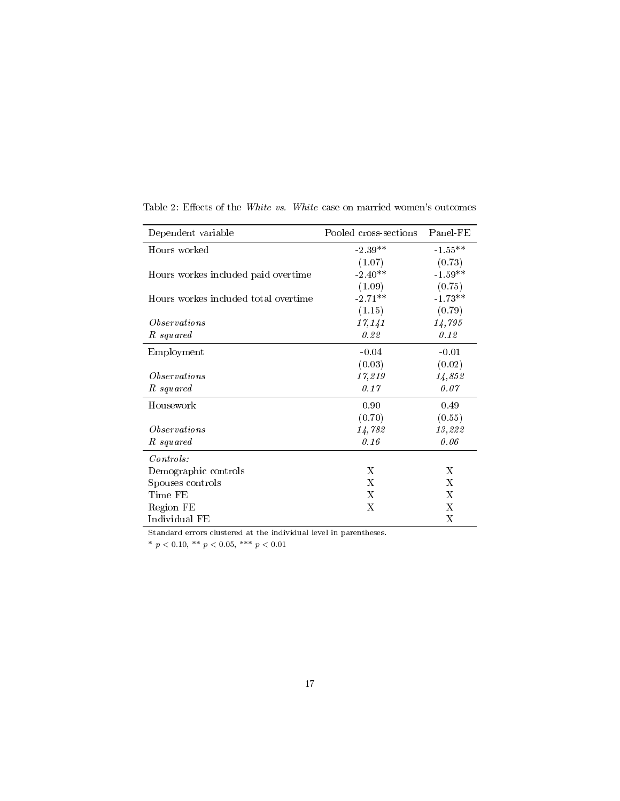| Dependent variable                   | Pooled cross-sections | Panel-FE  |
|--------------------------------------|-----------------------|-----------|
| Hours worked                         | $-2.39**$             | $-1.55**$ |
|                                      | (1.07)                | (0.73)    |
| Hours workes included paid overtime  | $-2.40**$             | $-1.59**$ |
|                                      | (1.09)                | (0.75)    |
| Hours workes included total overtime | $-2.71**$             | $-1.73**$ |
|                                      | (1.15)                | (0.79)    |
| <i>Observations</i>                  | 17,141                | 14,795    |
| R squared                            | 0.22                  | 0.12      |
| Employment                           | $-0.04$               | $-0.01$   |
|                                      | (0.03)                | (0.02)    |
| <i>Observations</i>                  | 17,219                | 14,852    |
| R squared                            | 0.17                  | 0.07      |
| Housework                            | 0.90                  | 0.49      |
|                                      | (0.70)                | (0.55)    |
| <i>Observations</i>                  | 14,782                | 13,222    |
| R squared                            | 0.16                  | 0.06      |
| Contents:                            |                       |           |
| Demographic controls                 | X                     | X         |
| Spouses controls                     | X                     | X         |
| Time FE                              | X                     | X         |
| Region FE                            | X                     | X         |
| Individual FE                        |                       | Х         |

<span id="page-17-0"></span>Table 2: Effects of the White vs. White case on married women's outcomes

Standard errors clustered at the individual level in parentheses.

\*  $p < 0.10,$  \*\*  $p < 0.05,$  \*\*\*  $p < 0.01$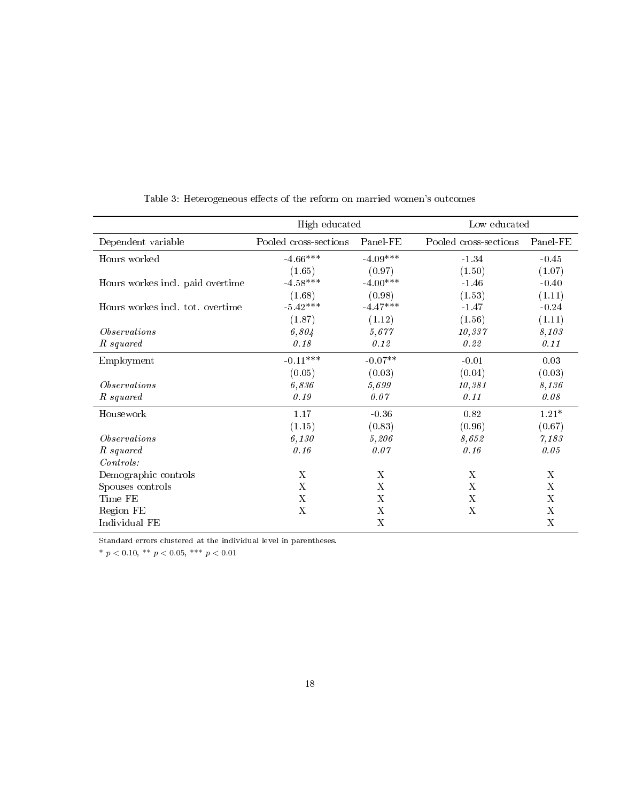<span id="page-18-0"></span>

|                                  | High educated         |            | Low educated          |          |
|----------------------------------|-----------------------|------------|-----------------------|----------|
| Dependent variable               | Pooled cross-sections | Panel-FE   | Pooled cross-sections | Panel-FE |
| Hours worked                     | $-4.66***$            | $-4.09***$ | $-1.34$               | $-0.45$  |
|                                  | (1.65)                | (0.97)     | (1.50)                | (1.07)   |
| Hours workes incl. paid overtime | $-4.58***$            | $-4.00***$ | $-1.46$               | $-0.40$  |
|                                  | (1.68)                | (0.98)     | (1.53)                | (1.11)   |
| Hours workes incl. tot. overtime | $-5.42***$            | $-4.47***$ | $-1.47$               | $-0.24$  |
|                                  | (1.87)                | (1.12)     | (1.56)                | (1.11)   |
| <i>Observations</i>              | 6,804                 | 5,677      | 10,337                | 8,103    |
| R squared                        | 0.18                  | 0.12       | 0.22                  | 0.11     |
| Employment                       | $-0.11***$            | $-0.07**$  | $-0.01$               | 0.03     |
|                                  | (0.05)                | (0.03)     | (0.04)                | (0.03)   |
| <i><b>Observations</b></i>       | 6,836                 | 5,699      | 10,381                | 8,136    |
| R squared                        | 0.19                  | 0.07       | 0.11                  | 0.08     |
| Housework                        | 1.17                  | $-0.36$    | 0.82                  | $1.21*$  |
|                                  | (1.15)                | (0.83)     | (0.96)                | (0.67)   |
| <i>Observations</i>              | 6,130                 | 5,206      | 8,652                 | 7,183    |
| R squared                        | 0.16                  | 0.07       | 0.16                  | 0.05     |
| Contents:                        |                       |            |                       |          |
| Demographic controls             | X                     | X          | X                     | X        |
| Spouses controls                 | X                     | Х          | X                     | X        |
| Time FE                          | X                     | Х          | X                     | Х        |
| Region FE                        | X                     | X          | X                     | X        |
| Individual FE                    |                       | X          |                       | X        |

Table 3: Heterogeneous effects of the reform on married women's outcomes

Standard errors clustered at the individual level in parentheses.

\*  $p < 0.10$ , \*\*  $p < 0.05$ , \*\*\*  $p < 0.01$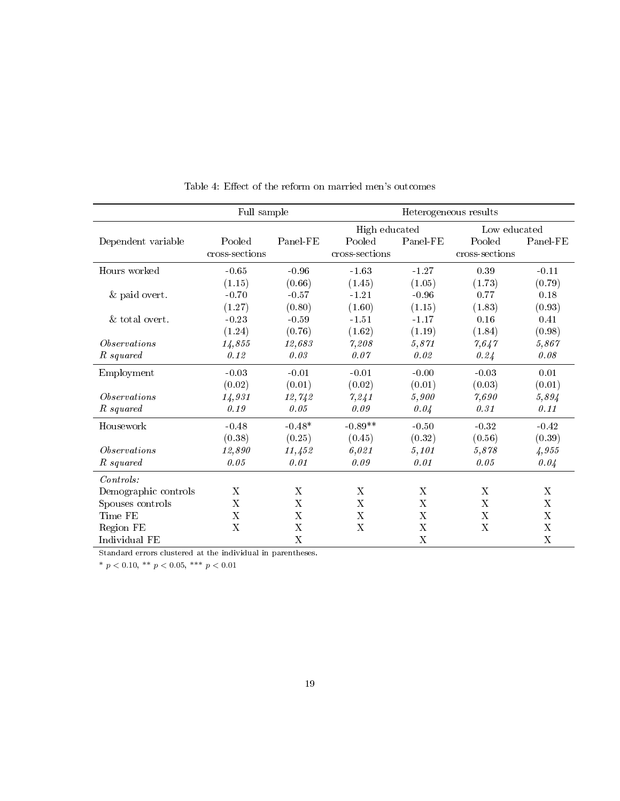<span id="page-19-0"></span>

|                      | Full sample    |             | Heterogeneous results     |                           |                |                           |
|----------------------|----------------|-------------|---------------------------|---------------------------|----------------|---------------------------|
|                      |                |             | High educated             |                           | Low educated   |                           |
| Dependent variable   | Pooled         | Panel-FE    | Pooled                    | Panel-FE                  | Pooled         | Panel-FE                  |
|                      | cross-sections |             | cross-sections            |                           | cross-sections |                           |
| Hours worked         | $-0.65$        | $-0.96$     | $-1.63$                   | $-1.27$                   | 0.39           | $-0.11$                   |
|                      | (1.15)         | (0.66)      | (1.45)                    | (1.05)                    | (1.73)         | (0.79)                    |
| & paid overt.        | $-0.70$        | $-0.57$     | $-1.21$                   | $-0.96$                   | 0.77           | 0.18                      |
|                      | (1.27)         | (0.80)      | (1.60)                    | (1.15)                    | (1.83)         | (0.93)                    |
| & total overt.       | $-0.23$        | $-0.59$     | $-1.51$                   | $-1.17$                   | 0.16           | 0.41                      |
|                      | (1.24)         | (0.76)      | (1.62)                    | (1.19)                    | (1.84)         | (0.98)                    |
| <i>Observations</i>  | 14,855         | 12,683      | 7,208                     | 5,871                     | 7,647          | 5,867                     |
| R squared            | 0.12           | 0.03        | 0.07                      | 0.02                      | 0.24           | 0.08                      |
| Employment           | $-0.03$        | $-0.01$     | $-0.01$                   | $-0.00$                   | $-0.03$        | 0.01                      |
|                      | (0.02)         | (0.01)      | (0.02)                    | (0.01)                    | (0.03)         | (0.01)                    |
| <i>Observations</i>  | 14,931         | 12,742      | 7,241                     | 5,900                     | 7,690          | 5,894                     |
| R squared            | 0.19           | 0.05        | 0.09                      | 0.04                      | 0.31           | 0.11                      |
| Housework            | $-0.48$        | $-0.48*$    | $-0.89**$                 | $-0.50$                   | $-0.32$        | $-0.42$                   |
|                      | (0.38)         | (0.25)      | (0.45)                    | (0.32)                    | (0.56)         | (0.39)                    |
| <i>Observations</i>  | 12,890         | 11,452      | 6,021                     | 5,101                     | 5,878          | 4,955                     |
| R squared            | 0.05           | 0.01        | 0.09                      | 0.01                      | 0.05           | 0.04                      |
| Contents:            |                |             |                           |                           |                |                           |
| Demographic controls | $\mathbf X$    | X           | $\mathbf X$               | X                         | X              | $\mathbf X$               |
| Spouses controls     | $\mathbf X$    | X           | $\boldsymbol{\mathrm{X}}$ | $\boldsymbol{\mathrm{X}}$ | X              | $\boldsymbol{\mathrm{X}}$ |
| Time FE              | X              | X           | $\mathbf X$               | X                         | X              | $\mathbf X$               |
| Region FE            | $\mathbf X$    | $\mathbf X$ | $\mathbf X$               | X                         | $\mathbf X$    | $\mathbf X$               |
| Individual FE        |                | X           |                           | $\overline{X}$            |                | X                         |

Table 4: Effect of the reform on married men's outcomes

Standard errors clustered at the individual in parentheses.

 $^*$   $p$   $<$  0.10,  $^{\ast\ast}$   $p$   $<$  0.05,  $^{\ast\ast\ast}$   $p$   $<$  0.01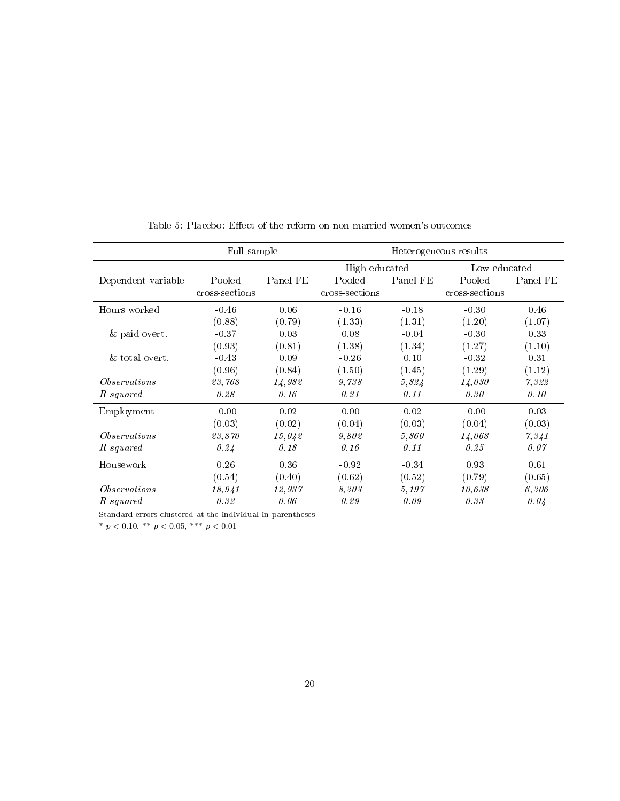<span id="page-20-0"></span>

| Full sample         |                |          | Heterogeneous results         |          |                |          |
|---------------------|----------------|----------|-------------------------------|----------|----------------|----------|
|                     |                |          | High educated<br>Low educated |          |                |          |
| Dependent variable  | Pooled         | Panel-FE | Pooled                        | Panel-FE | Pooled         | Panel-FE |
|                     | cross-sections |          | cross-sections                |          | cross-sections |          |
| Hours worked        | $-0.46$        | 0.06     | $-0.16$                       | $-0.18$  | $-0.30$        | 0.46     |
|                     | (0.88)         | (0.79)   | (1.33)                        | (1.31)   | (1.20)         | (1.07)   |
| & paid overt.       | $-0.37$        | 0.03     | 0.08                          | $-0.04$  | $-0.30$        | 0.33     |
|                     | (0.93)         | (0.81)   | (1.38)                        | (1.34)   | (1.27)         | (1.10)   |
| & total overt.      | $-0.43$        | 0.09     | $-0.26$                       | 0.10     | $-0.32$        | 0.31     |
|                     | (0.96)         | (0.84)   | (1.50)                        | (1.45)   | (1.29)         | (1.12)   |
| <i>Observations</i> | 23,768         | 14,982   | 9,738                         | 5,824    | 14,030         | 7,322    |
| R squared           | 0.28           | 0.16     | 0.21                          | 0.11     | 0.30           | 0.10     |
| Employment          | $-0.00$        | 0.02     | 0.00                          | 0.02     | $-0.00$        | 0.03     |
|                     | (0.03)         | (0.02)   | (0.04)                        | (0.03)   | (0.04)         | (0.03)   |
| <i>Observations</i> | 23,870         | 15,042   | 9,802                         | 5,860    | 14,068         | 7,341    |
| R squared           | 0.24           | 0.18     | 0.16                          | 0.11     | 0.25           | 0.07     |
| Housework           | 0.26           | 0.36     | $-0.92$                       | $-0.34$  | 0.93           | 0.61     |
|                     | (0.54)         | (0.40)   | (0.62)                        | (0.52)   | (0.79)         | (0.65)   |
| <i>Observations</i> | 18,941         | 12,937   | 8,303                         | 5,197    | 10,638         | 6,306    |
| R squared           | 0.32           | 0.06     | 0.29                          | 0.09     | 0.33           | 0.04     |

Table 5: Placebo: Effect of the reform on non-married women's outcomes

Standard errors clustered at the individual in parentheses

\*  $p < 0.10$ , \*\*  $p < 0.05$ , \*\*\*  $p < 0.01$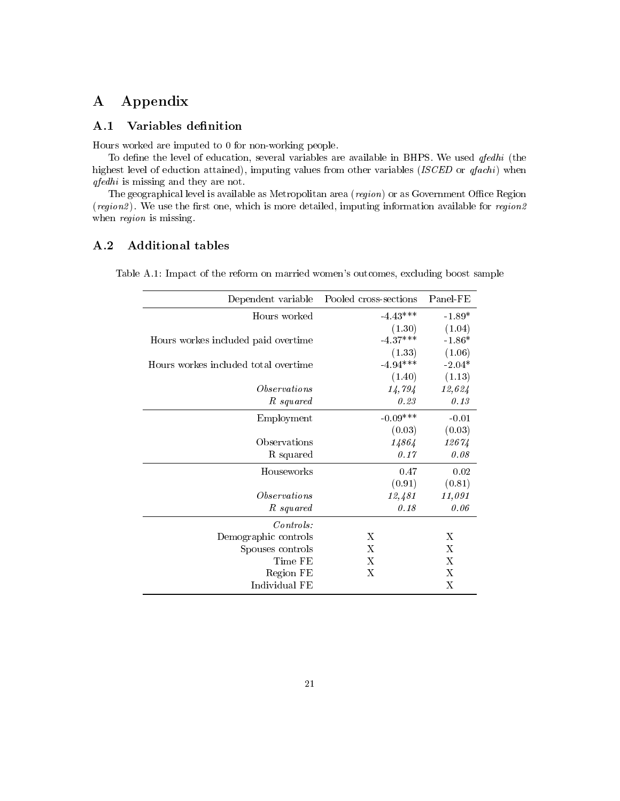## A Appendix

#### A.1 Variables definition

Hours worked are imputed to 0 for non-working people.

To define the level of education, several variables are available in BHPS. We used  $qfedhi$  (the highest level of eduction attained), imputing values from other variables (ISCED or qfachi) when qfedhi is missing and they are not.

The geographical level is available as Metropolitan area  $({region})$  or as Government Office Region  $(region2)$ . We use the first one, which is more detailed, imputing information available for region2 when *region* is missing.

#### <span id="page-21-0"></span>A.2 Additional tables

Table A.1: Impact of the reform on married women's outcomes, excluding boost sample

| Dependent variable                   | Pooled cross-sections | Panel-FE |
|--------------------------------------|-----------------------|----------|
| Hours worked                         | $-4.43***$            | $-1.89*$ |
|                                      | (1.30)                | (1.04)   |
| Hours workes included paid overtime  | $-4.37***$            | $-1.86*$ |
|                                      | (1.33)                | (1.06)   |
| Hours workes included total overtime | $-4.94***$            | $-2.04*$ |
|                                      | (1.40)                | (1.13)   |
| <i>Observations</i>                  | 14,794                | 12,624   |
| R squared                            | 0.23                  | 0.13     |
| Employment                           | $-0.09***$            | $-0.01$  |
|                                      | (0.03)                | (0.03)   |
| Observations                         | 14864                 | 12674    |
| R squared                            | 0.17                  | 0.08     |
| Houseworks                           | 0.47                  | 0.02     |
|                                      | (0.91)                | (0.81)   |
| <i>Observations</i>                  | 12,481                | 11,091   |
| R squared                            | 0.18                  | 0.06     |
| Controls:                            |                       |          |
| Demographic controls                 | X                     | X        |
| Spouses controls                     | X                     | X        |
| Time FE                              | X                     | X        |
| Region FE                            | Х                     | X        |
| Individual FE                        |                       | Х        |